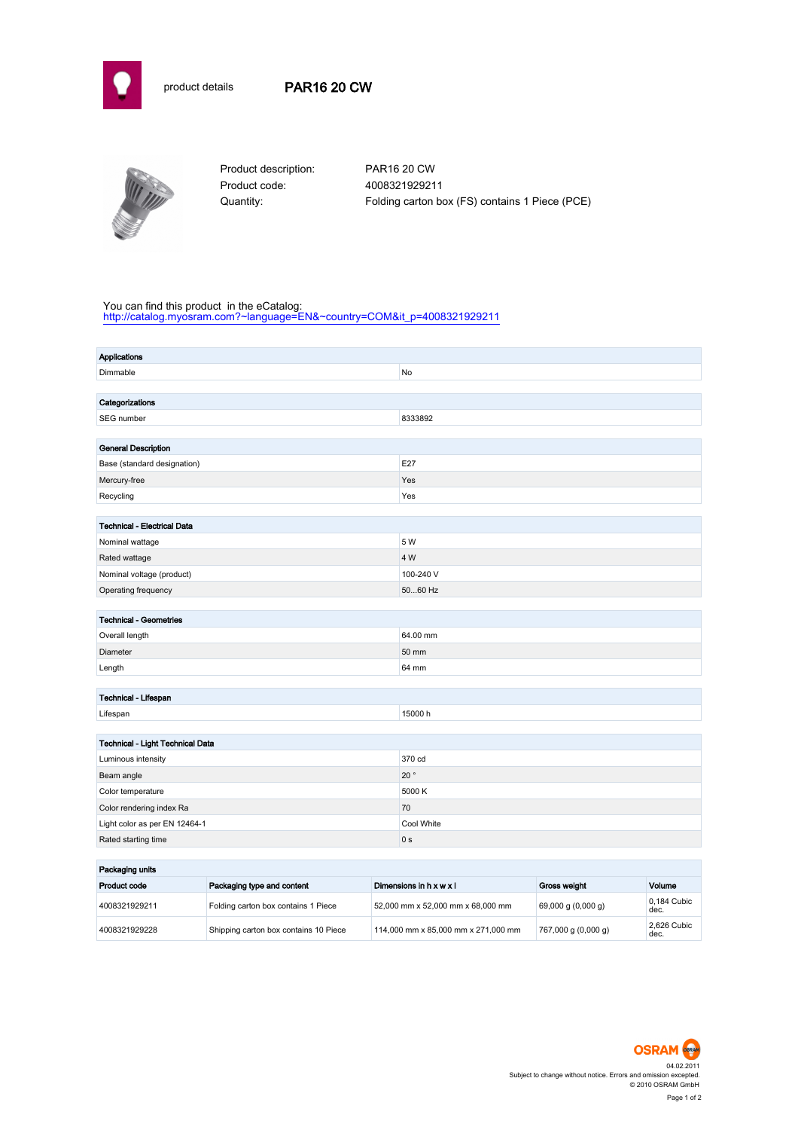



Product code: 4008321929211

Product description: PAR16 20 CW Quantity: Folding carton box (FS) contains 1 Piece (PCE)

## You can find this product in the eCatalog:

[http://catalog.myosram.com?~language=EN&~country=COM&it\\_p=4008321929211](http://catalog.myosram.com?~language=EN&~country=COM&it_p=4008321929211)

| <b>Applications</b>                |               |  |  |
|------------------------------------|---------------|--|--|
| Dimmable                           | No            |  |  |
|                                    |               |  |  |
| Categorizations                    |               |  |  |
| SEG number                         | 8333892       |  |  |
|                                    |               |  |  |
| <b>General Description</b>         |               |  |  |
| Base (standard designation)        | E27           |  |  |
| Mercury-free                       | Yes           |  |  |
| Recycling                          | Yes           |  |  |
|                                    |               |  |  |
| <b>Technical - Electrical Data</b> | 5 W           |  |  |
| Nominal wattage                    | 4 W           |  |  |
| Rated wattage                      |               |  |  |
| Nominal voltage (product)          | 100-240 V     |  |  |
| Operating frequency                | 5060 Hz       |  |  |
| <b>Technical - Geometries</b>      |               |  |  |
| Overall length                     | 64.00 mm      |  |  |
| Diameter                           | 50 mm         |  |  |
| Length                             | 64 mm         |  |  |
|                                    |               |  |  |
| Technical - Lifespan               |               |  |  |
| Lifespan                           | 15000 h       |  |  |
|                                    |               |  |  |
| Technical - Light Technical Data   |               |  |  |
| Luminous intensity                 | 370 cd        |  |  |
| Beam angle                         | 20 $^{\circ}$ |  |  |
| Color temperature                  | 5000 K        |  |  |
| Color rendering index Ra           | 70            |  |  |
| Light color as per EN 12464-1      | Cool White    |  |  |
| Rated starting time                | 0 s           |  |  |
| Packaging units                    |               |  |  |

| Packaging units |                                       |                                     |                        |                     |  |
|-----------------|---------------------------------------|-------------------------------------|------------------------|---------------------|--|
| Product code    | Packaging type and content            | Dimensions in h x w x l             | Gross weight           | Volume              |  |
| 4008321929211   | Folding carton box contains 1 Piece   | 52,000 mm x 52,000 mm x 68,000 mm   | $69,000$ g $(0,000$ g) | 0.184 Cubic<br>dec. |  |
| 4008321929228   | Shipping carton box contains 10 Piece | 114,000 mm x 85,000 mm x 271,000 mm | 767,000 g (0,000 g)    | 2.626 Cubic<br>dec. |  |